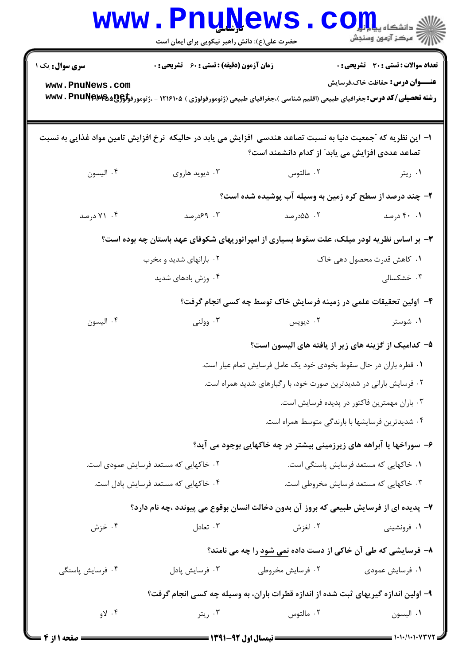|                                                                    | <b>www.PnuNews</b><br>حضرت علی(ع): دانش راهبر نیکویی برای ایمان است |                                                                                                                                                                   | $\mathbf{C}\mathbf{O}\mathbf{H}$ و دانشگاه پ<br>أأأأ عركز آزمون وسنجش                 |  |
|--------------------------------------------------------------------|---------------------------------------------------------------------|-------------------------------------------------------------------------------------------------------------------------------------------------------------------|---------------------------------------------------------------------------------------|--|
| <b>سری سوال :</b> یک ۱<br>www.PnuNews.com                          | <b>زمان آزمون (دقیقه) : تستی : 60 ٪ تشریحی : 0</b>                  | <b>رشته تحصیلی/کد درس:</b> جغرافیای طبیعی (اقلیم شناسی )،جغرافیای طبیعی (ژئومورفولوژی ) ۱۲۱۶۱۰۵ - ،ژئومورف <del>ولوQA&amp;&amp;Q</del> && www                     | <b>تعداد سوالات : تستی : 30 ٪ تشریحی : 0</b><br><b>عنـــوان درس:</b> حفاظت خاک،فرسایش |  |
|                                                                    |                                                                     | ا– این نظریه که ″جمعیت دنیا به نسبت تصاعد هندسی ∫فزایش می یابد در حالیکه ۖنرخ افزایش تامین مواد غذایی به نسبت<br>تصاعد عددی افزایش می یابد ؒ از کدام دانشمند است؟ |                                                                                       |  |
| ۰۴ اليسون                                                          | ۰۳ دیوید هاروی                                                      | ۰۲ مالتوس                                                                                                                                                         | ۰۱ ريتر                                                                               |  |
|                                                                    |                                                                     | ۲- چند درصد از سطح کره زمین به وسیله آب پوشیده شده است؟                                                                                                           |                                                                                       |  |
| ۰۴ درصد                                                            | ۰۳ ۶۹درصد                                                           | ۰۲ ۵۵درصد                                                                                                                                                         | ۰۱ ۴۰ درصد                                                                            |  |
|                                                                    |                                                                     | ۳- بر اساس نظریه لودر میلک، علت سقوط بسیاری از امپراتوریهای شکوفای عهد باستان چه بوده است؟                                                                        |                                                                                       |  |
|                                                                    | ۰۲ بارانهای شدید و مخرب                                             |                                                                                                                                                                   | ۰۱ کاهش قدرت محصول دهی خاک                                                            |  |
|                                                                    | ۰۴ وزش بادهای شدید                                                  |                                                                                                                                                                   | ۰۳ خشکسالی                                                                            |  |
| ۴– اولین تحقیقات علمی در زمینه فرسایش خاک توسط چه کسی انجام گرفت؟  |                                                                     |                                                                                                                                                                   |                                                                                       |  |
| ۰۴ اليسون                                                          | ۰۳ وولنی                                                            | ۰۲ دیویس                                                                                                                                                          | ۰۱ شوستر                                                                              |  |
|                                                                    |                                                                     | ۵– کدامیک از گزینه های زیر از یافته های الیسون است؟                                                                                                               |                                                                                       |  |
| ۰۱ قطره باران در حال سقوط بخودی خود یک عامل فرسایش تمام عیار است.  |                                                                     |                                                                                                                                                                   |                                                                                       |  |
| ۰۲ فرسایش بارانی در شدیدترین صورت خود، با رگبارهای شدید همراه است. |                                                                     |                                                                                                                                                                   |                                                                                       |  |
|                                                                    |                                                                     |                                                                                                                                                                   | ۰۳ باران مهمترین فاکتور در پدیده فرسایش است.                                          |  |
|                                                                    |                                                                     | ۰۴ شدیدترین فرسایشها با بارندگی متوسط همراه است.                                                                                                                  |                                                                                       |  |
|                                                                    |                                                                     | ۶- سوراخها یا آبراهه های زیرزمینی بیشتر در چه خاکهایی بوجود می آید؟                                                                                               |                                                                                       |  |
|                                                                    | ۲. خاکهایی که مستعد فرسایش عمودی است.                               | ۰۱ خاکهایی که مستعد فرسایش پاسنگی است.                                                                                                                            |                                                                                       |  |
| ۰۴ خاکهایی که مستعد فرسایش پادل است.                               |                                                                     |                                                                                                                                                                   | ۰۳ خاکهایی که مستعد فرسایش مخروطی است.                                                |  |
|                                                                    |                                                                     | ۷- پدیده ای از فرسایش طبیعی که بروز آن بدون دخالت انسان بوقوع می پیوندد ،چه نام دارد؟                                                                             |                                                                                       |  |
| ۰۴ خزش                                                             | ۰۳ تعادل                                                            | ۰۲ لغزش                                                                                                                                                           | ۰۱ فرونشینی                                                                           |  |
|                                                                    |                                                                     | ۸– فرسایشی که طی آن خاکی از دست داده نمی <u>شود</u> را چه می نامند؟                                                                                               |                                                                                       |  |
| ۰۴ فرسايش پاسنگى                                                   | ۰۳ فرسايش پادل                                                      | ۰۲ فرسایش مخروطی                                                                                                                                                  | ٠١ فرسايش عمودي                                                                       |  |
|                                                                    |                                                                     | ۹– اولین اندازه گیریهای ثبت شده از اندازه قطرات باران، به وسیله چه کسی انجام گرفت؟                                                                                |                                                                                       |  |
| ۰۴ لاو                                                             | ۰۳ ريتر                                                             | ۰۲ مالتوس                                                                                                                                                         | ٠١. اليسون                                                                            |  |
| <b>: صفحه ۱ از ۴</b>                                               |                                                                     | <b>ــــ نیمسال اول ۹۲-۱۳۹۱ ـــــ</b>                                                                                                                              | = ۱۰۱۰/۱۰۱۰۷۳۷۲ =                                                                     |  |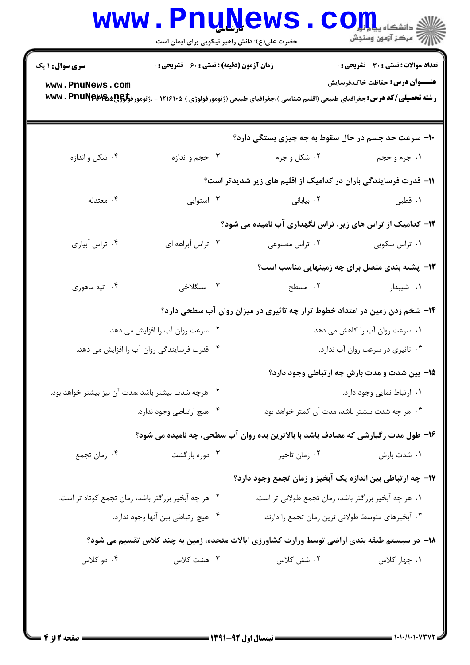| <b>سری سوال : ۱ یک</b>                              | زمان آزمون (دقیقه) : تستی : 60 ٪ تشریحی : 0 |                                                                                                                                                     | <b>تعداد سوالات : تستی : 30 ٪ تشریحی : 0</b> |  |
|-----------------------------------------------------|---------------------------------------------|-----------------------------------------------------------------------------------------------------------------------------------------------------|----------------------------------------------|--|
| www.PnuNews.com                                     |                                             | <b>رشته تحصیلی/کد درس:</b> جغرافیای طبیعی (اقلیم شناسی )،جغرافیای طبیعی (ژئومورفولوژی ) ۱۲۱۶۱۰۵ - ،ژئومورف <del>ولوژی WW</del> V <b>. PnuNewe</b> & | <b>عنـــوان درس:</b> حفاظت خاک،فرسایش        |  |
|                                                     |                                             | ۱۰- سرعت حد جسم در حال سقوط به چه چیزی بستگی دارد؟                                                                                                  |                                              |  |
| ۰۴ شکل و اندازه                                     | ۰۳ حجم و اندازه                             | ۰۲ شکل و جرم                                                                                                                                        | ۱. جرم و حجم                                 |  |
|                                                     |                                             | 1۱– قدرت فرسایندگی باران در کدامیک از اقلیم های زیر شدیدتر است؟                                                                                     |                                              |  |
| ۰۴ معتدله                                           | ۰۳ استوايي                                  | ۰۲ بیابانی                                                                                                                                          | ۰۱ قطبی                                      |  |
|                                                     |                                             | ۱۲- کدامیک از تراس های زیر، تراس نگهداری آب نامیده می شود؟                                                                                          |                                              |  |
| ۰۴ تراس أبياري                                      | ۰۳ تراس آبراهه ای                           | ۰۱ تراس سکویی مصنوعی در اس مصنوعی (۰۲                                                                                                               |                                              |  |
|                                                     |                                             | <b>۱۳</b> - پشته بندی متصل برای چه زمینهایی مناسب است؟                                                                                              |                                              |  |
| ۰۴ تپه ماهوري                                       | ۰۳ سنگلاخی                                  | ۲. مسطح                                                                                                                                             | <b>۱.</b> شیبدار است.                        |  |
|                                                     |                                             | ۱۴- شخم زدن زمین در امتداد خطوط تراز چه تاثیری در میزان روان آب سطحی دارد؟                                                                          |                                              |  |
|                                                     | ۰۲ سرعت روان آب را افزایش می دهد.           |                                                                                                                                                     | ۰۱ سرعت روان آب را کاهش می دهد.              |  |
| ۰۴ قدرت فرسایندگی روان آب را افزایش می دهد.         |                                             | ۰۳ تاثیری در سرعت روان آب ندارد.                                                                                                                    |                                              |  |
|                                                     |                                             |                                                                                                                                                     | ۱۵– بین شدت و مدت بارش چه ارتباطی وجود دارد؟ |  |
| ۰۲ هرچه شدت بیشتر باشد ،مدت آن نیز بیشتر خواهد بود. |                                             | ٠١ ارتباط نمايي وجود دارد.                                                                                                                          |                                              |  |
| ۰۴ هيچ ارتباطي وجود ندارد.                          |                                             | ۰۳ هر چه شدت بیشتر باشد، مدت آن کمتر خواهد بود.                                                                                                     |                                              |  |
|                                                     |                                             | ۱۶- طول مدت رگبارشی که مصادف باشد با بالاترین بده روان آب سطحی، چه نامیده می شود؟                                                                   |                                              |  |
| ۰۴ زمان تجمع                                        | ۰۳ دوره بازگشت                              | ۰۲ زمان تاخیر                                                                                                                                       | ۰۱ شدت بارش                                  |  |
|                                                     |                                             | ۱۷– چه ارتباطی بین اندازه یک آبخیز و زمان تجمع وجود دارد؟                                                                                           |                                              |  |
| ۰۲ هر چه آبخیز بزرگتر باشد، زمان تجمع کوتاه تر است. |                                             | ١. هر چه آبخيز بزرگتر باشد، زمان تجمع طولاني تر است.                                                                                                |                                              |  |
| ۰۴ هیچ ارتباطی بین آنها وجود ندارد.                 |                                             | ۰۳ آبخیزهای متوسط طولانی ترین زمان تجمع را دارند.                                                                                                   |                                              |  |
|                                                     |                                             | ۱۸– در سیستم طبقه بندی اراضی توسط وزارت کشاورزی ایالات متحده، زمین به چند کلاس تقسیم می شود؟                                                        |                                              |  |
| ۰۴ دو کلاس                                          | ۰۳ هشت کلاس                                 | ۰۲ شش کلاس                                                                                                                                          | ۰۱ چهار کلاس                                 |  |

 $1 - 1 - 11 - 1 - 11$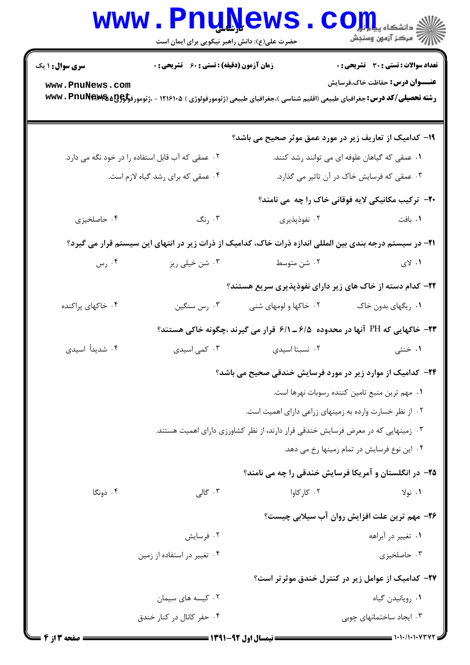|                                                                                                                 | <b>www.PnuNews</b><br>حضرت علی(ع): دانش راهبر نیکویی برای ایمان است |                                                                                                                                       | $\text{C}$ OII<br>أآه مرکز آزمون وسنجش                    |  |
|-----------------------------------------------------------------------------------------------------------------|---------------------------------------------------------------------|---------------------------------------------------------------------------------------------------------------------------------------|-----------------------------------------------------------|--|
| <b>سری سوال : ۱ یک</b>                                                                                          | زمان آزمون (دقیقه) : تستی : 60 ٪ تشریحی : 0                         |                                                                                                                                       | تعداد سوالات : تستي : 30 - تشريحي : 0                     |  |
| www.PnuNews.com                                                                                                 |                                                                     | <b>رشته تحصیلی/کد درس:</b> جغرافیای طبیعی (اقلیم شناسی )،جغرافیای طبیعی (ژئومورفولوژی ) ۱۲۱۶۱۰۵ - ،ژئومورف <del>ولوQ</del> B&&R • www | <b>عنـــوان درس:</b> حفاظت خاک،فرسایش                     |  |
|                                                                                                                 |                                                                     | ۱۹- کدامیک از تعاریف زیر در مورد عمق موثر صحیح می باشد؟                                                                               |                                                           |  |
|                                                                                                                 | ۰۲ عمقی که آب قابل استفاده را در خود نگه می دارد.                   |                                                                                                                                       | ۰۱ عمقی که گیاهان علوفه ای می توانند رشد کنند.            |  |
| ۰۴ عمقی که برای رشد گیاه لازم است.                                                                              |                                                                     |                                                                                                                                       | ۰۳ عمقی که فرسایش خاک در آن تاثیر می گذارد.               |  |
|                                                                                                                 |                                                                     |                                                                                                                                       | <b>۲۰</b> - ترکیب مکانیکی لایه فوقانی خاک را چه می نامند؟ |  |
| ۰۴ حاصلخیزی                                                                                                     | ۰۳ رنگ                                                              | ۰۲ نفوذپذیری                                                                                                                          | ۰۱ بافت                                                   |  |
| <b>۲۱</b> – در سیستم درجه بندی بین المللی اندازه ذرات خاک، کدامیک از ذرات زیر در انتهای این سیستم قرار می گیرد؟ |                                                                     |                                                                                                                                       |                                                           |  |
| ۰۴ رس                                                                                                           | ۰۳ شن خیلی ریز                                                      | ۰۲ شن متوسط                                                                                                                           | ۰۱ لای                                                    |  |
|                                                                                                                 |                                                                     | <b>۲۲</b> - کدام دسته از خاک های زیر دارای نفوذپذیری سریع هستند؟                                                                      |                                                           |  |
| ۰۴ خاکهای پراکنده                                                                                               | ۰۳ رس سنگين                                                         | ۰۲ خاکها و لومهای شنی                                                                                                                 | ۰۱ ریگهای بدون خاک                                        |  |
|                                                                                                                 |                                                                     | <b>۲۳</b> - خاکهایی که PH آنها در محدوده ۶/۱ ــ ۶/۱ قرار می گیرند ،چگونه خاکی هستند؟                                                  |                                                           |  |
| ۰۴ شدیداً اسیدی                                                                                                 | ۰۳ کمی اسیدی                                                        | ۰۲ نسبتا اسیدی                                                                                                                        | ۰۱ خنثی                                                   |  |
|                                                                                                                 | ۲۴– کدامیک از موارد زیر در مورد فرسایش خندقی صحیح می باشد؟          |                                                                                                                                       |                                                           |  |
|                                                                                                                 |                                                                     |                                                                                                                                       | ٠١. مهم ترين منبع تامين كننده رسوبات نهرها است.           |  |
|                                                                                                                 |                                                                     | ۰۲ از نظر خسارت وارده به زمینهای زراعی دارای اهمیت است.                                                                               |                                                           |  |
|                                                                                                                 |                                                                     | ۰۳ زمینهایی که در معرض فرسایش خندقی قرار دارند، از نظر کشاورزی دارای اهمیت هستند.                                                     |                                                           |  |
|                                                                                                                 |                                                                     |                                                                                                                                       | ۰۴ این نوع فرسایش در تمام زمینها رخ می دهد.               |  |
|                                                                                                                 |                                                                     | ۲۵- در انگلستان و آمریکا فرسایش خندقی را چه می نامند؟                                                                                 |                                                           |  |
| ۰۴ دونگا                                                                                                        | ۰۳ گالی                                                             | ۰۲ کا <sub>ر کاوا</sub>                                                                                                               | ۰۱ نولا                                                   |  |
|                                                                                                                 |                                                                     |                                                                                                                                       | ۲۶- مهم ترین علت افزایش روان آب سیلابی چیست؟              |  |
|                                                                                                                 | ۰۲ فرسایش                                                           |                                                                                                                                       | ۰۱ تغییر در آبراهه                                        |  |
|                                                                                                                 | ۰۴ تغییر در استفاده از زمین                                         |                                                                                                                                       | ۰۳ حاصلخیزی                                               |  |
|                                                                                                                 |                                                                     |                                                                                                                                       | <b>۲۷- کدامیک از عوامل زیر در کنترل خندق موثرتر است</b> ؟ |  |
|                                                                                                                 | ۰۲ کیسه های سیمان                                                   |                                                                                                                                       | ۰۱ رویانیدن گیاه                                          |  |
|                                                                                                                 | ۰۴ حفر کانال در کنار خندق                                           |                                                                                                                                       | ۰۳ ایجاد ساختمانهای چوبی                                  |  |

۰ ۱۰۱۰/۱۰۱۰۷۲